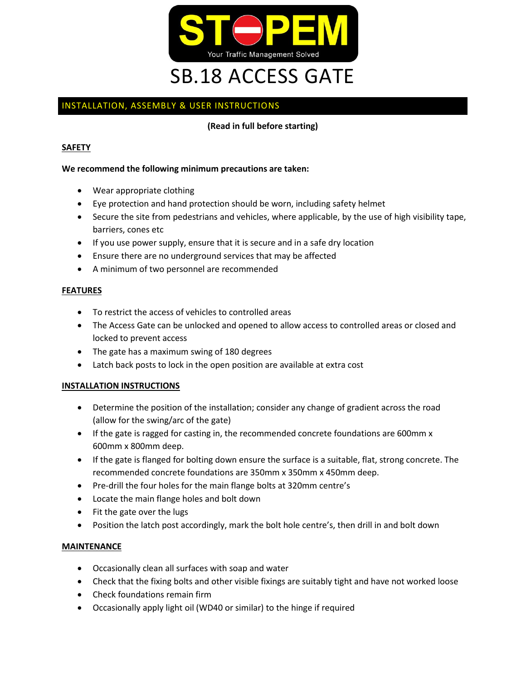

# INSTALLATION, ASSEMBLY & USER INSTRUCTIONS

**(Read in full before starting)**

## **SAFETY**

### **We recommend the following minimum precautions are taken:**

- Wear appropriate clothing
- Eye protection and hand protection should be worn, including safety helmet
- Secure the site from pedestrians and vehicles, where applicable, by the use of high visibility tape, barriers, cones etc
- If you use power supply, ensure that it is secure and in a safe dry location
- Ensure there are no underground services that may be affected
- A minimum of two personnel are recommended

#### **FEATURES**

- To restrict the access of vehicles to controlled areas
- The Access Gate can be unlocked and opened to allow access to controlled areas or closed and locked to prevent access
- The gate has a maximum swing of 180 degrees
- Latch back posts to lock in the open position are available at extra cost

#### **INSTALLATION INSTRUCTIONS**

- Determine the position of the installation; consider any change of gradient across the road (allow for the swing/arc of the gate)
- If the gate is ragged for casting in, the recommended concrete foundations are 600mm x 600mm x 800mm deep.
- If the gate is flanged for bolting down ensure the surface is a suitable, flat, strong concrete. The recommended concrete foundations are 350mm x 350mm x 450mm deep.
- Pre-drill the four holes for the main flange bolts at 320mm centre's
- Locate the main flange holes and bolt down
- Fit the gate over the lugs
- Position the latch post accordingly, mark the bolt hole centre's, then drill in and bolt down

#### **MAINTENANCE**

- Occasionally clean all surfaces with soap and water
- Check that the fixing bolts and other visible fixings are suitably tight and have not worked loose
- Check foundations remain firm
- Occasionally apply light oil (WD40 or similar) to the hinge if required